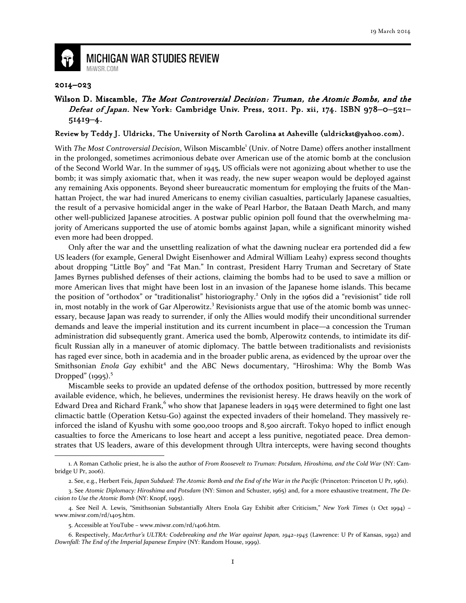

## **MICHIGAN WAR STUDIES REVIEW** MiWSR.COM

## 2014–023

## Wilson D. Miscamble, The Most Controversial Decision: Truman, the Atomic Bombs, and the Defeat of Japan. New York: Cambridge Univ. Press, 2011. Pp. xii, 174. ISBN 978-0-521-51419–4.

## Review by Teddy J. Uldricks, The University of North Carolina at Asheville (uldrickst@yahoo.com).

With The Most Controversial Decision, Wilson Miscamble<sup>1</sup> (Univ. of Notre Dame) offers another installment in the prolonged, sometimes acrimonious debate over American use of the atomic bomb at the conclusion of the Second World War. In the summer of 1945, US officials were not agonizing about whether to use the bomb; it was simply axiomatic that, when it was ready, the new super weapon would be deployed against any remaining Axis opponents. Beyond sheer bureaucratic momentum for employing the fruits of the Manhattan Project, the war had inured Americans to enemy civilian casualties, particularly Japanese casualties, the result of a pervasive homicidal anger in the wake of Pearl Harbor, the Bataan Death March, and many other well-publicized Japanese atrocities. A postwar public opinion poll found that the overwhelming majority of Americans supported the use of atomic bombs against Japan, while a significant minority wished even more had been dropped.

Only after the war and the unsettling realization of what the dawning nuclear era portended did a few US leaders (for example, General Dwight Eisenhower and Admiral William Leahy) express second thoughts about dropping "Little Boy" and "Fat Man." In contrast, President Harry Truman and Secretary of State James Byrnes published defenses of their actions, claiming the bombs had to be used to save a million or more American lives that might have been lost in an invasion of the Japanese home islands. This became the position of "orthodox" or "traditionalist" historiography.<sup>2</sup> Only in the 1960s did a "revisionist" tide roll in, most notably in the work of Gar Alperowitz.<sup>3</sup> Revisionists argue that use of the atomic bomb was unnecessary, because Japan was ready to surrender, if only the Allies would modify their unconditional surrender demands and leave the imperial institution and its current incumbent in place—a concession the Truman administration did subsequently grant. America used the bomb, Alperowitz contends, to intimidate its difficult Russian ally in a maneuver of atomic diplomacy. The battle between traditionalists and revisionists has raged ever since, both in academia and in the broader public arena, as evidenced by the uproar over the Smithsonian Enola Gay exhibit<sup>4</sup> and the ABC News documentary, "Hiroshima: Why the Bomb Was Dropped"  $(1995)^5$ 

Miscamble seeks to provide an updated defense of the orthodox position, buttressed by more recently available evidence, which, he believes, undermines the revisionist heresy. He draws heavily on the work of Edward Drea and Richard Frank,  $6$  who show that Japanese leaders in 1945 were determined to fight one last climactic battle (Operation Ketsu-Go) against the expected invaders of their homeland. They massively reinforced the island of Kyushu with some 900,000 troops and 8,500 aircraft. Tokyo hoped to inflict enough casualties to force the Americans to lose heart and accept a less punitive, negotiated peace. Drea demonstrates that US leaders, aware of this development through Ultra intercepts, were having second thoughts  $\overline{\phantom{0}}$ 

<sup>1.</sup> A Roman Catholic priest, he is also the author of From Roosevelt to Truman: Potsdam, Hiroshima, and the Cold War (NY: Cambridge U Pr, 2006).

<sup>2.</sup> See, e.g., Herbert Feis, Japan Subdued: The Atomic Bomb and the End of the War in the Pacific (Princeton: Princeton U Pr, 1961).

<sup>3.</sup> See Atomic Diplomacy: Hiroshima and Potsdam (NY: Simon and Schuster, 1965) and, for a more exhaustive treatment, The Decision to Use the Atomic Bomb (NY: Knopf, 1995).

<sup>4.</sup> See Neil A. Lewis, "Smithsonian Substantially Alters Enola Gay Exhibit after Criticism," New York Times (1 Oct 1994) – www.miwsr.com/rd/1405.htm.

<sup>5.</sup> Accessible at YouTube – www.miwsr.com/rd/1406.htm.

<sup>6.</sup> Respectively, MacArthur's ULTRA: Codebreaking and the War against Japan, 1942–1945 (Lawrence: U Pr of Kansas, 1992) and Downfall: The End of the Imperial Japanese Empire (NY: Random House, 1999).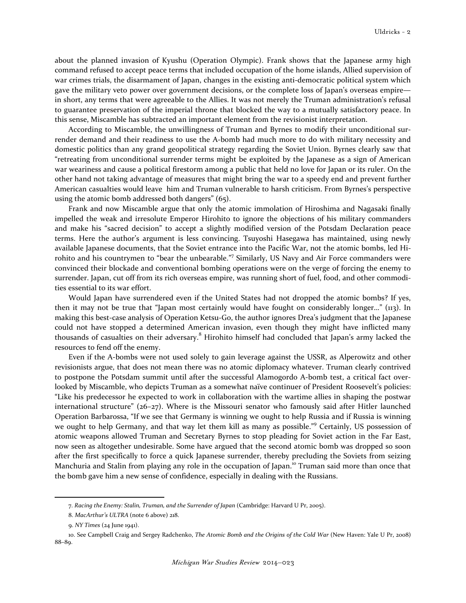about the planned invasion of Kyushu (Operation Olympic). Frank shows that the Japanese army high command refused to accept peace terms that included occupation of the home islands, Allied supervision of war crimes trials, the disarmament of Japan, changes in the existing anti-democratic political system which gave the military veto power over government decisions, or the complete loss of Japan's overseas empire in short, any terms that were agreeable to the Allies. It was not merely the Truman administration's refusal to guarantee preservation of the imperial throne that blocked the way to a mutually satisfactory peace. In this sense, Miscamble has subtracted an important element from the revisionist interpretation.

According to Miscamble, the unwillingness of Truman and Byrnes to modify their unconditional surrender demand and their readiness to use the A-bomb had much more to do with military necessity and domestic politics than any grand geopolitical strategy regarding the Soviet Union. Byrnes clearly saw that "retreating from unconditional surrender terms might be exploited by the Japanese as a sign of American war weariness and cause a political firestorm among a public that held no love for Japan or its ruler. On the other hand not taking advantage of measures that might bring the war to a speedy end and prevent further American casualties would leave him and Truman vulnerable to harsh criticism. From Byrnes's perspective using the atomic bomb addressed both dangers" (65).

Frank and now Miscamble argue that only the atomic immolation of Hiroshima and Nagasaki finally impelled the weak and irresolute Emperor Hirohito to ignore the objections of his military commanders and make his "sacred decision" to accept a slightly modified version of the Potsdam Declaration peace terms. Here the author's argument is less convincing. Tsuyoshi Hasegawa has maintained, using newly available Japanese documents, that the Soviet entrance into the Pacific War, not the atomic bombs, led Hirohito and his countrymen to "bear the unbearable."7 Similarly, US Navy and Air Force commanders were convinced their blockade and conventional bombing operations were on the verge of forcing the enemy to surrender. Japan, cut off from its rich overseas empire, was running short of fuel, food, and other commodities essential to its war effort.

Would Japan have surrendered even if the United States had not dropped the atomic bombs? If yes, then it may not be true that "Japan most certainly would have fought on considerably longer…" (113). In making this best-case analysis of Operation Ketsu-Go, the author ignores Drea's judgment that the Japanese could not have stopped a determined American invasion, even though they might have inflicted many thousands of casualties on their adversary.<sup>8</sup> Hirohito himself had concluded that Japan's army lacked the resources to fend off the enemy.

Even if the A-bombs were not used solely to gain leverage against the USSR, as Alperowitz and other revisionists argue, that does not mean there was no atomic diplomacy whatever. Truman clearly contrived to postpone the Potsdam summit until after the successful Alamogordo A-bomb test, a critical fact overlooked by Miscamble, who depicts Truman as a somewhat naïve continuer of President Roosevelt's policies: "Like his predecessor he expected to work in collaboration with the wartime allies in shaping the postwar international structure" (26–27). Where is the Missouri senator who famously said after Hitler launched Operation Barbarossa, "If we see that Germany is winning we ought to help Russia and if Russia is winning we ought to help Germany, and that way let them kill as many as possible."<sup>9</sup> Certainly, US possession of atomic weapons allowed Truman and Secretary Byrnes to stop pleading for Soviet action in the Far East, now seen as altogether undesirable. Some have argued that the second atomic bomb was dropped so soon after the first specifically to force a quick Japanese surrender, thereby precluding the Soviets from seizing Manchuria and Stalin from playing any role in the occupation of Japan.<sup>10</sup> Truman said more than once that the bomb gave him a new sense of confidence, especially in dealing with the Russians.

 $\overline{\phantom{0}}$ 

<sup>7.</sup> Racing the Enemy: Stalin, Truman, and the Surrender of Japan (Cambridge: Harvard U Pr, 2005).

<sup>8.</sup> MacArthur's ULTRA (note 6 above) 218.

<sup>9.</sup> NY Times (24 June 1941).

<sup>10.</sup> See Campbell Craig and Sergey Radchenko, The Atomic Bomb and the Origins of the Cold War (New Haven: Yale U Pr, 2008) 88–89.